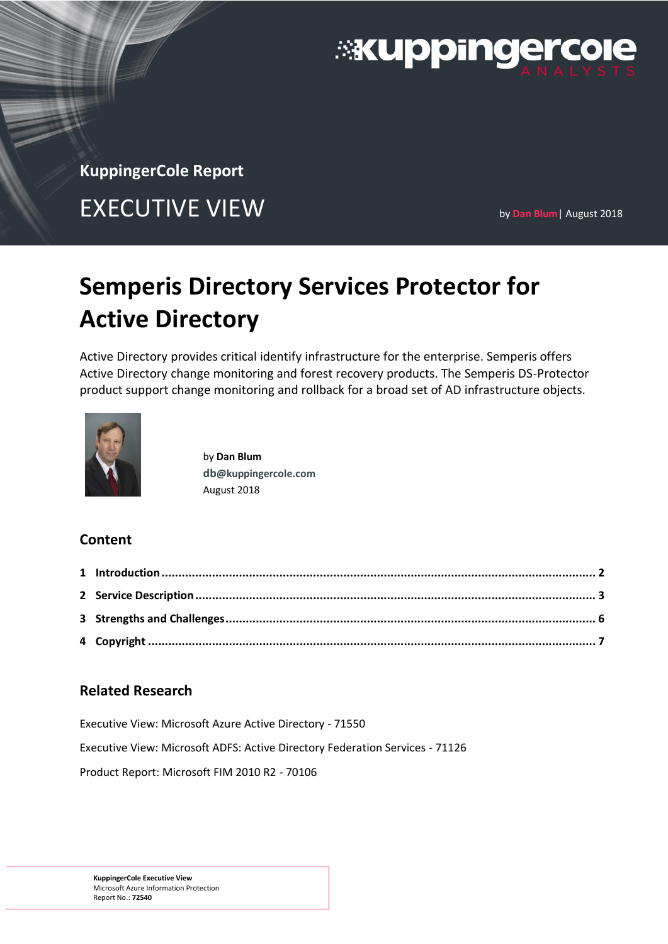

**KuppingerCole Report** 

# EXECUTIVE VIEW **by Dan Blum**| August 2018

# **Semperis Directory Services Protector for Active Directory**

Active Directory provides critical identify infrastructure for the enterprise. Semperis offers Active Directory change monitoring and forest recovery products. The Semperis DS-Protector product support change monitoring and rollback for a broad set of AD infrastructure objects.



by **Dan Blum db[@kuppingercole.com](mailto:db@kuppingercole.com)** August 2018

## **Content**

# **Related Research**

Executive View: Microsoft Azure Active Directory - 71550

Executive View: Microsoft ADFS: Active Directory Federation Services - 71126

Product Report: Microsoft FIM 2010 R2 - 70106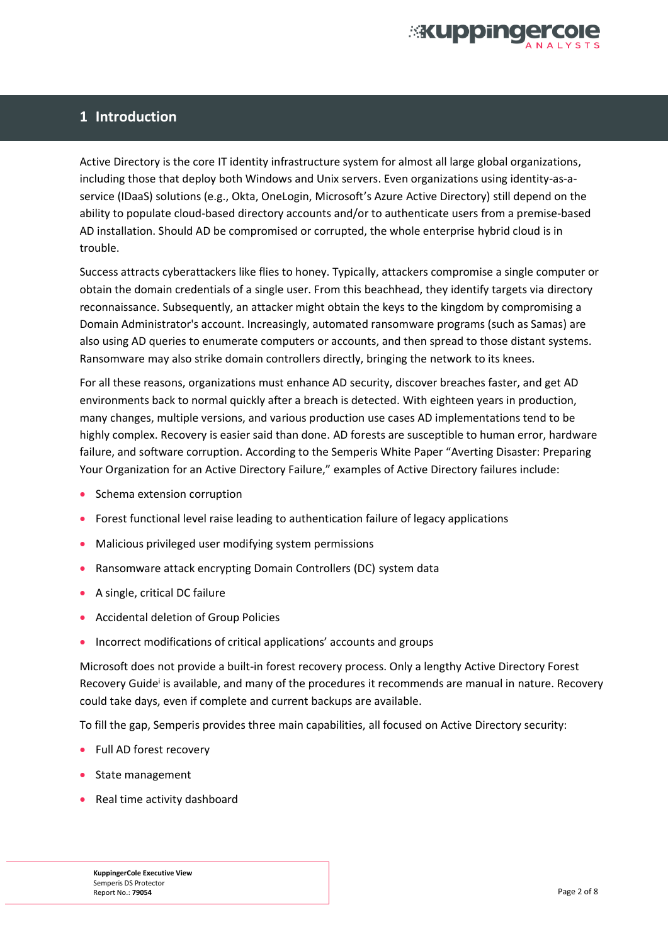

## **1 Introduction**

Active Directory is the core IT identity infrastructure system for almost all large global organizations, including those that deploy both Windows and Unix servers. Even organizations using identity-as-aservice (IDaaS) solutions (e.g., Okta, OneLogin, Microsoft's Azure Active Directory) still depend on the ability to populate cloud-based directory accounts and/or to authenticate users from a premise-based AD installation. Should AD be compromised or corrupted, the whole enterprise hybrid cloud is in trouble.

Success attracts cyberattackers like flies to honey. Typically, attackers compromise a single computer or obtain the domain credentials of a single user. From this beachhead, they identify targets via directory reconnaissance. Subsequently, an attacker might obtain the keys to the kingdom by compromising a Domain Administrator's account. Increasingly, automated ransomware programs (such as Samas) are also using AD queries to enumerate computers or accounts, and then spread to those distant systems. Ransomware may also strike domain controllers directly, bringing the network to its knees.

For all these reasons, organizations must enhance AD security, discover breaches faster, and get AD environments back to normal quickly after a breach is detected. With eighteen years in production, many changes, multiple versions, and various production use cases AD implementations tend to be highly complex. Recovery is easier said than done. AD forests are susceptible to human error, hardware failure, and software corruption. According to the Semperis White Paper "Averting Disaster: Preparing Your Organization for an Active Directory Failure," examples of Active Directory failures include:

- Schema extension corruption
- Forest functional level raise leading to authentication failure of legacy applications
- Malicious privileged user modifying system permissions
- Ransomware attack encrypting Domain Controllers (DC) system data
- A single, critical DC failure
- Accidental deletion of Group Policies
- Incorrect modifications of critical applications' accounts and groups

Microsoft does not provide a built-in forest recovery process. Only a lengthy Active Directory Forest Recovery Guide<sup>i</sup> is available, and many of the procedures it recommends are manual in nature. Recovery could take days, even if complete and current backups are available.

To fill the gap, Semperis provides three main capabilities, all focused on Active Directory security:

- Full AD forest recovery
- State management
- Real time activity dashboard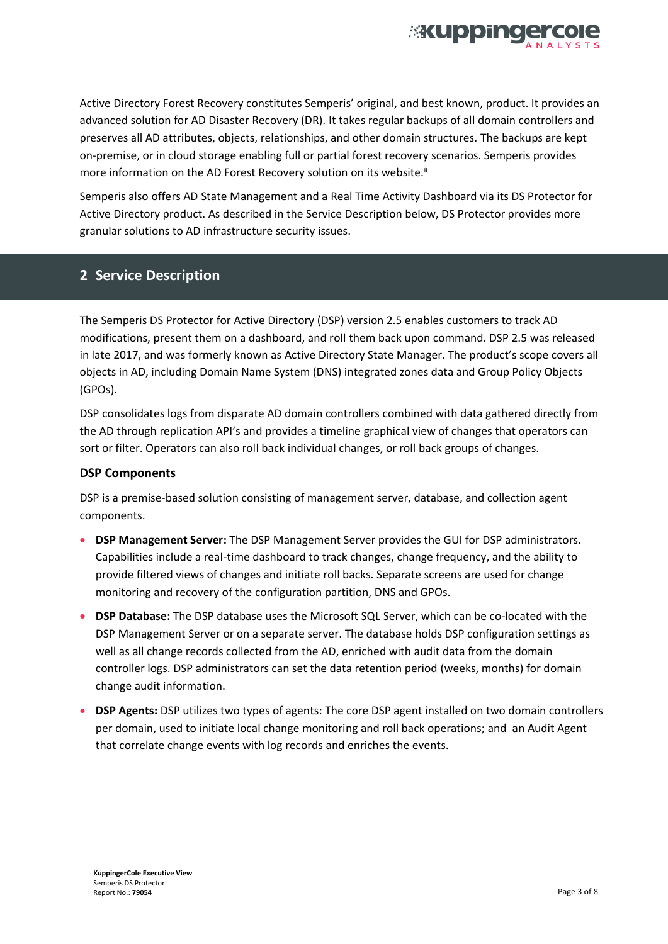

Active Directory Forest Recovery constitutes Semperis' original, and best known, product. It provides an advanced solution for AD Disaster Recovery (DR). It takes regular backups of all domain controllers and preserves all AD attributes, objects, relationships, and other domain structures. The backups are kept on-premise, or in cloud storage enabling full or partial forest recovery scenarios. Semperis provides more information on the AD Forest Recovery solution on its website.<sup>ii</sup>

Semperis also offers AD State Management and a Real Time Activity Dashboard via its DS Protector for Active Directory product. As described in the Service Description below, DS Protector provides more granular solutions to AD infrastructure security issues.

### **2 Service Description**

The Semperis DS Protector for Active Directory (DSP) version 2.5 enables customers to track AD modifications, present them on a dashboard, and roll them back upon command. DSP 2.5 was released in late 2017, and was formerly known as Active Directory State Manager. The product's scope covers all objects in AD, including Domain Name System (DNS) integrated zones data and Group Policy Objects (GPOs).

DSP consolidates logs from disparate AD domain controllers combined with data gathered directly from the AD through replication API's and provides a timeline graphical view of changes that operators can sort or filter. Operators can also roll back individual changes, or roll back groups of changes.

#### **DSP Components**

DSP is a premise-based solution consisting of management server, database, and collection agent components.

- **DSP Management Server:** The DSP Management Server provides the GUI for DSP administrators. Capabilities include a real-time dashboard to track changes, change frequency, and the ability to provide filtered views of changes and initiate roll backs. Separate screens are used for change monitoring and recovery of the configuration partition, DNS and GPOs.
- **DSP Database:** The DSP database uses the Microsoft SQL Server, which can be co-located with the DSP Management Server or on a separate server. The database holds DSP configuration settings as well as all change records collected from the AD, enriched with audit data from the domain controller logs. DSP administrators can set the data retention period (weeks, months) for domain change audit information.
- **DSP Agents:** DSP utilizes two types of agents: The core DSP agent installed on two domain controllers per domain, used to initiate local change monitoring and roll back operations; and an Audit Agent that correlate change events with log records and enriches the events.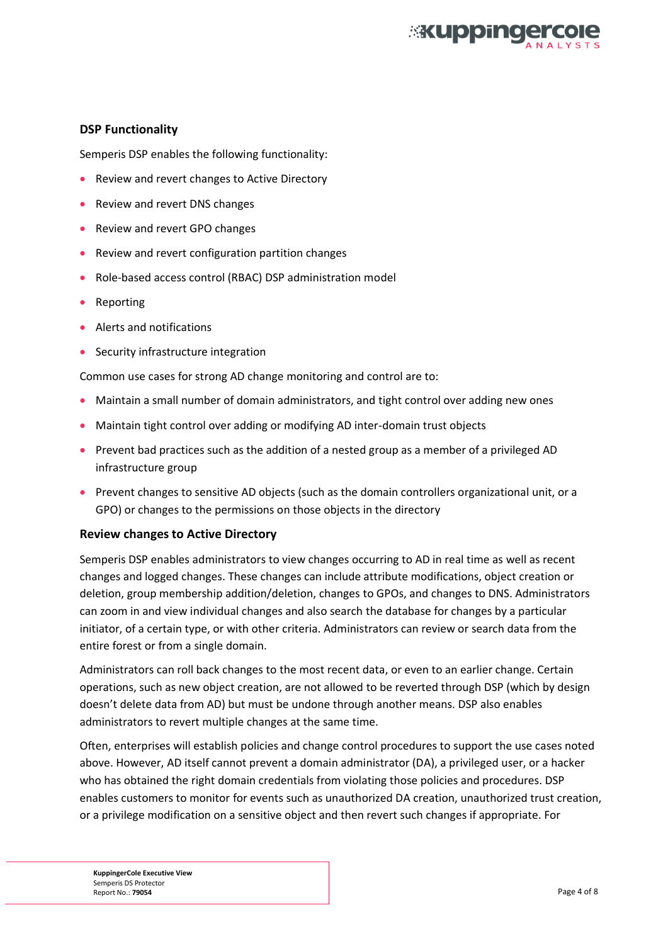

#### **DSP Functionality**

Semperis DSP enables the following functionality:

- Review and revert changes to Active Directory
- Review and revert DNS changes
- Review and revert GPO changes
- Review and revert configuration partition changes
- Role-based access control (RBAC) DSP administration model
- Reporting
- Alerts and notifications
- Security infrastructure integration

Common use cases for strong AD change monitoring and control are to:

- Maintain a small number of domain administrators, and tight control over adding new ones
- Maintain tight control over adding or modifying AD inter-domain trust objects
- Prevent bad practices such as the addition of a nested group as a member of a privileged AD infrastructure group
- Prevent changes to sensitive AD objects (such as the domain controllers organizational unit, or a GPO) or changes to the permissions on those objects in the directory

#### **Review changes to Active Directory**

Semperis DSP enables administrators to view changes occurring to AD in real time as well as recent changes and logged changes. These changes can include attribute modifications, object creation or deletion, group membership addition/deletion, changes to GPOs, and changes to DNS. Administrators can zoom in and view individual changes and also search the database for changes by a particular initiator, of a certain type, or with other criteria. Administrators can review or search data from the entire forest or from a single domain.

Administrators can roll back changes to the most recent data, or even to an earlier change. Certain operations, such as new object creation, are not allowed to be reverted through DSP (which by design doesn't delete data from AD) but must be undone through another means. DSP also enables administrators to revert multiple changes at the same time.

Often, enterprises will establish policies and change control procedures to support the use cases noted above. However, AD itself cannot prevent a domain administrator (DA), a privileged user, or a hacker who has obtained the right domain credentials from violating those policies and procedures. DSP enables customers to monitor for events such as unauthorized DA creation, unauthorized trust creation, or a privilege modification on a sensitive object and then revert such changes if appropriate. For

**KuppingerCole Executive View**  Semperis DS Protector Report No.: **79054** Page 4 of 8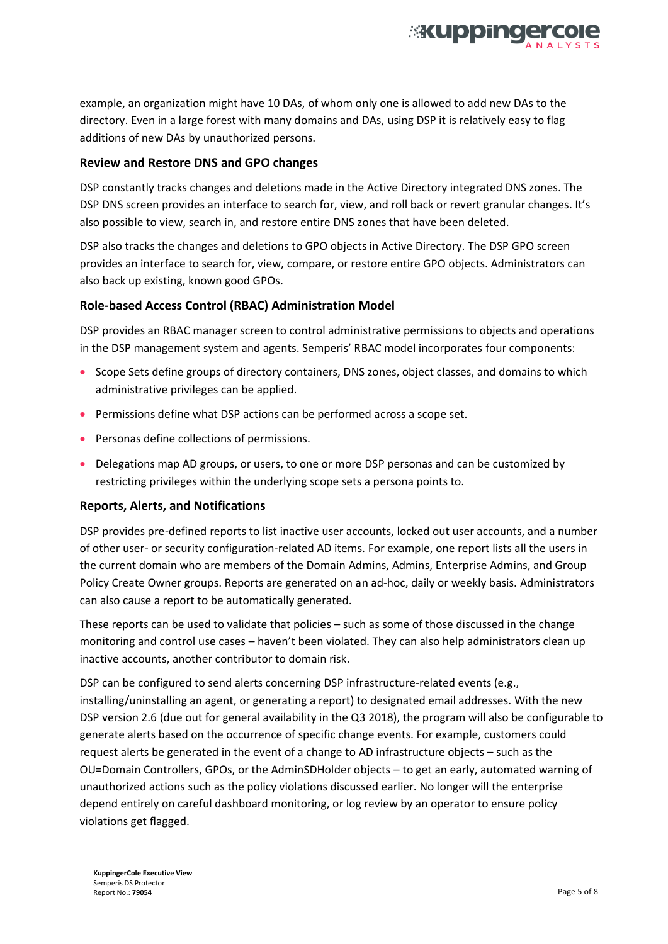

example, an organization might have 10 DAs, of whom only one is allowed to add new DAs to the directory. Even in a large forest with many domains and DAs, using DSP it is relatively easy to flag additions of new DAs by unauthorized persons.

#### **Review and Restore DNS and GPO changes**

DSP constantly tracks changes and deletions made in the Active Directory integrated DNS zones. The DSP DNS screen provides an interface to search for, view, and roll back or revert granular changes. It's also possible to view, search in, and restore entire DNS zones that have been deleted.

DSP also tracks the changes and deletions to GPO objects in Active Directory. The DSP GPO screen provides an interface to search for, view, compare, or restore entire GPO objects. Administrators can also back up existing, known good GPOs.

### **Role-based Access Control (RBAC) Administration Model**

DSP provides an RBAC manager screen to control administrative permissions to objects and operations in the DSP management system and agents. Semperis' RBAC model incorporates four components:

- Scope Sets define groups of directory containers, DNS zones, object classes, and domains to which administrative privileges can be applied.
- Permissions define what DSP actions can be performed across a scope set.
- Personas define collections of permissions.
- Delegations map AD groups, or users, to one or more DSP personas and can be customized by restricting privileges within the underlying scope sets a persona points to.

#### **Reports, Alerts, and Notifications**

DSP provides pre-defined reports to list inactive user accounts, locked out user accounts, and a number of other user- or security configuration-related AD items. For example, one report lists all the users in the current domain who are members of the Domain Admins, Admins, Enterprise Admins, and Group Policy Create Owner groups. Reports are generated on an ad-hoc, daily or weekly basis. Administrators can also cause a report to be automatically generated.

These reports can be used to validate that policies – such as some of those discussed in the change monitoring and control use cases – haven't been violated. They can also help administrators clean up inactive accounts, another contributor to domain risk.

DSP can be configured to send alerts concerning DSP infrastructure-related events (e.g., installing/uninstalling an agent, or generating a report) to designated email addresses. With the new DSP version 2.6 (due out for general availability in the Q3 2018), the program will also be configurable to generate alerts based on the occurrence of specific change events. For example, customers could request alerts be generated in the event of a change to AD infrastructure objects – such as the OU=Domain Controllers, GPOs, or the AdminSDHolder objects – to get an early, automated warning of unauthorized actions such as the policy violations discussed earlier. No longer will the enterprise depend entirely on careful dashboard monitoring, or log review by an operator to ensure policy violations get flagged.

**KuppingerCole Executive View**  Semperis DS Protector Report No.: **79054** Page 5 of 8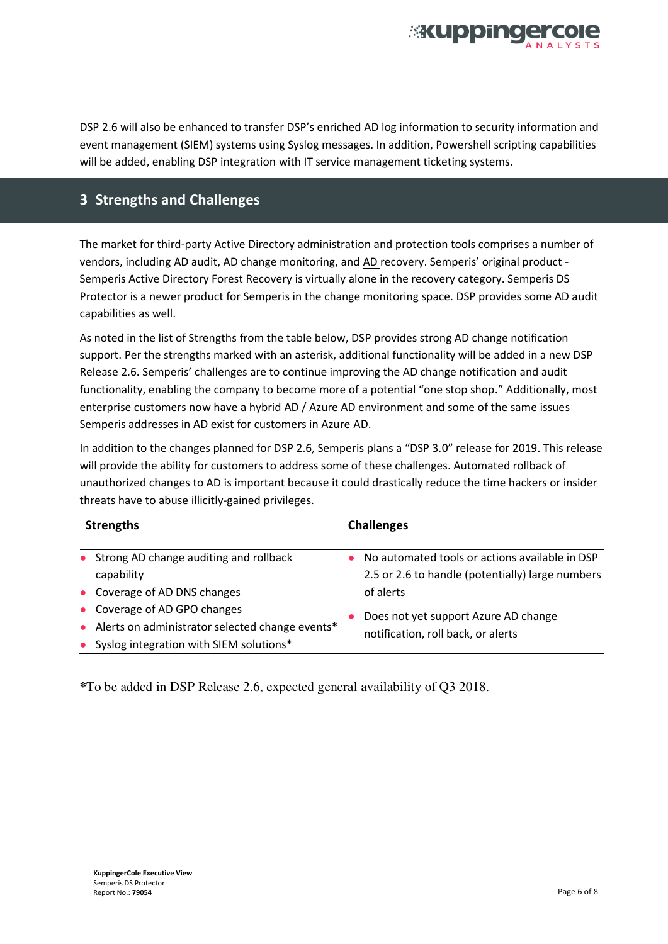

DSP 2.6 will also be enhanced to transfer DSP's enriched AD log information to security information and event management (SIEM) systems using Syslog messages. In addition, Powershell scripting capabilities will be added, enabling DSP integration with IT service management ticketing systems.

## **3 Strengths and Challenges**

The market for third-party Active Directory administration and protection tools comprises a number of vendors, including AD audit, AD change monitoring, and AD recovery. Semperis' original product -Semperis Active Directory Forest Recovery is virtually alone in the recovery category. Semperis DS Protector is a newer product for Semperis in the change monitoring space. DSP provides some AD audit capabilities as well.

As noted in the list of Strengths from the table below, DSP provides strong AD change notification support. Per the strengths marked with an asterisk, additional functionality will be added in a new DSP Release 2.6. Semperis' challenges are to continue improving the AD change notification and audit functionality, enabling the company to become more of a potential "one stop shop." Additionally, most enterprise customers now have a hybrid AD / Azure AD environment and some of the same issues Semperis addresses in AD exist for customers in Azure AD.

In addition to the changes planned for DSP 2.6, Semperis plans a "DSP 3.0" release for 2019. This release will provide the ability for customers to address some of these challenges. Automated rollback of unauthorized changes to AD is important because it could drastically reduce the time hackers or insider threats have to abuse illicitly-gained privileges.

| <b>Strengths</b>                                  | <b>Challenges</b>                                |  |
|---------------------------------------------------|--------------------------------------------------|--|
| • Strong AD change auditing and rollback          | No automated tools or actions available in DSP   |  |
| capability                                        | 2.5 or 2.6 to handle (potentially) large numbers |  |
| • Coverage of AD DNS changes                      | of alerts                                        |  |
| • Coverage of AD GPO changes                      | Does not yet support Azure AD change             |  |
| • Alerts on administrator selected change events* | $\bullet$                                        |  |
| Syslog integration with SIEM solutions*           | notification, roll back, or alerts               |  |

**\***To be added in DSP Release 2.6, expected general availability of Q3 2018.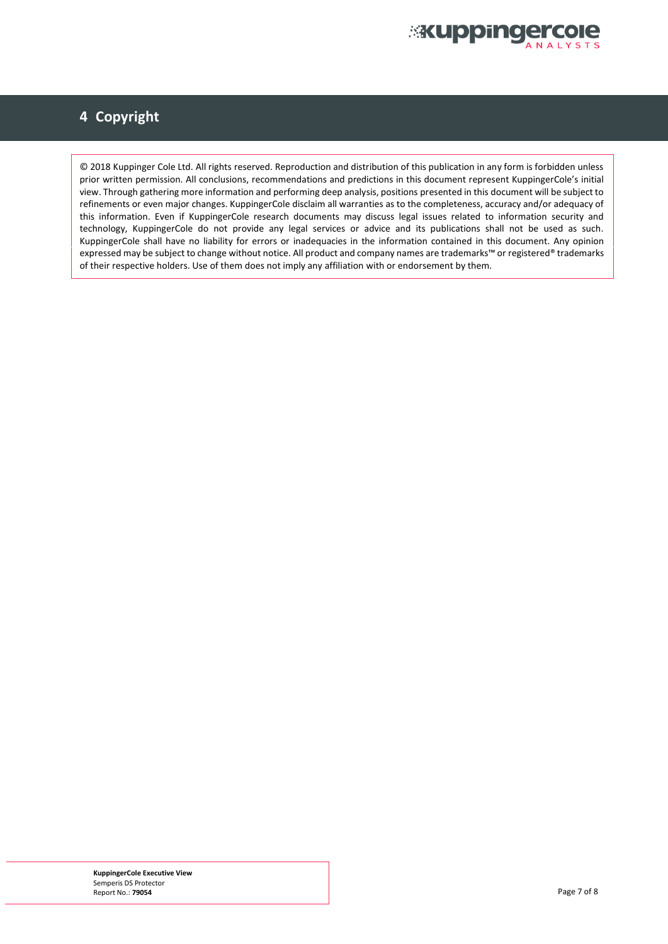

# **4 Copyright**

© 2018 Kuppinger Cole Ltd. All rights reserved. Reproduction and distribution of this publication in any form is forbidden unless prior written permission. All conclusions, recommendations and predictions in this document represent KuppingerCole's initial view. Through gathering more information and performing deep analysis, positions presented in this document will be subject to refinements or even major changes. KuppingerCole disclaim all warranties as to the completeness, accuracy and/or adequacy of this information. Even if KuppingerCole research documents may discuss legal issues related to information security and technology, KuppingerCole do not provide any legal services or advice and its publications shall not be used as such. KuppingerCole shall have no liability for errors or inadequacies in the information contained in this document. Any opinion expressed may be subject to change without notice. All product and company names are trademarks™ or registered® trademarks of their respective holders. Use of them does not imply any affiliation with or endorsement by them.